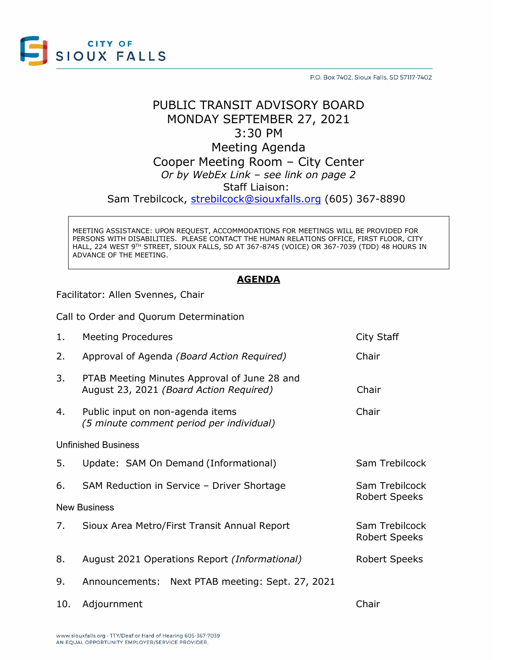

P.O. Box 7402, Sioux Falls, SD 57117-7402

## PUBLIC TRANSIT ADVISORY BOARD MONDAY SEPTEMBER 27, 2021 3:30 PM Meeting Agenda

# Cooper Meeting Room – City Center *Or by WebEx Link – see link on page 2* Staff Liaison:

Sam Trebilcock, [strebilcock@siouxfalls.org](mailto:strebilcock@siouxfalls.org) (605) 367-8890

MEETING ASSISTANCE: UPON REQUEST, ACCOMMODATIONS FOR MEETINGS WILL BE PROVIDED FOR PERSONS WITH DISABILITIES. PLEASE CONTACT THE HUMAN RELATIONS OFFICE, FIRST FLOOR, CITY HALL, 224 WEST 9TH STREET, SIOUX FALLS, SD AT 367-8745 (VOICE) OR 367-7039 (TDD) 48 HOURS IN ADVANCE OF THE MEETING.

### **AGENDA**

Facilitator: Allen Svennes, Chair

Call to Order and Quorum Determination

| 1.                         | <b>Meeting Procedures</b>                                                               | City Staff                             |
|----------------------------|-----------------------------------------------------------------------------------------|----------------------------------------|
| 2.                         | Approval of Agenda (Board Action Required)                                              | Chair                                  |
| 3.                         | PTAB Meeting Minutes Approval of June 28 and<br>August 23, 2021 (Board Action Required) | Chair                                  |
| 4.                         | Public input on non-agenda items<br>(5 minute comment period per individual)            | Chair                                  |
| <b>Unfinished Business</b> |                                                                                         |                                        |
| 5.                         | Update: SAM On Demand (Informational)                                                   | Sam Trebilcock                         |
| 6.                         | SAM Reduction in Service - Driver Shortage                                              | Sam Trebilcock<br><b>Robert Speeks</b> |
| <b>New Business</b>        |                                                                                         |                                        |
| 7.                         | Sioux Area Metro/First Transit Annual Report                                            | Sam Trebilcock<br><b>Robert Speeks</b> |
| 8.                         | August 2021 Operations Report (Informational)                                           | <b>Robert Speeks</b>                   |
| 9.                         | Announcements: Next PTAB meeting: Sept. 27, 2021                                        |                                        |
| 10.                        | Adjournment                                                                             | Chair                                  |